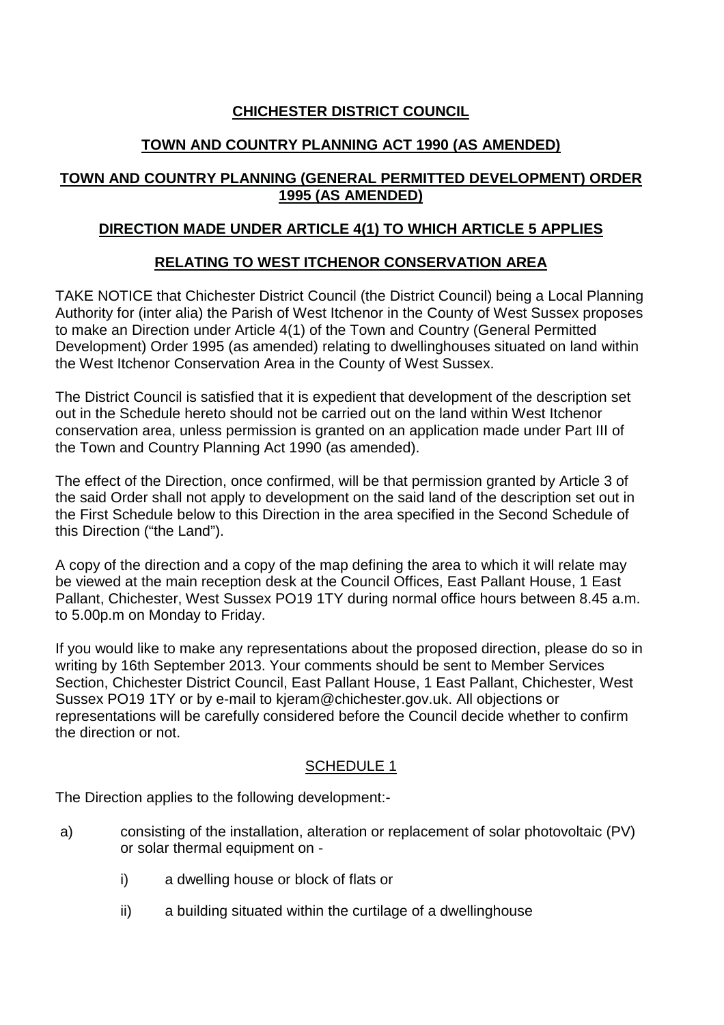# **CHICHESTER DISTRICT COUNCIL**

# **TOWN AND COUNTRY PLANNING ACT 1990 (AS AMENDED)**

## **TOWN AND COUNTRY PLANNING (GENERAL PERMITTED DEVELOPMENT) ORDER 1995 (AS AMENDED)**

## **DIRECTION MADE UNDER ARTICLE 4(1) TO WHICH ARTICLE 5 APPLIES**

# **RELATING TO WEST ITCHENOR CONSERVATION AREA**

TAKE NOTICE that Chichester District Council (the District Council) being a Local Planning Authority for (inter alia) the Parish of West Itchenor in the County of West Sussex proposes to make an Direction under Article 4(1) of the Town and Country (General Permitted Development) Order 1995 (as amended) relating to dwellinghouses situated on land within the West Itchenor Conservation Area in the County of West Sussex.

The District Council is satisfied that it is expedient that development of the description set out in the Schedule hereto should not be carried out on the land within West Itchenor conservation area, unless permission is granted on an application made under Part III of the Town and Country Planning Act 1990 (as amended).

The effect of the Direction, once confirmed, will be that permission granted by Article 3 of the said Order shall not apply to development on the said land of the description set out in the First Schedule below to this Direction in the area specified in the Second Schedule of this Direction ("the Land").

A copy of the direction and a copy of the map defining the area to which it will relate may be viewed at the main reception desk at the Council Offices, East Pallant House, 1 East Pallant, Chichester, West Sussex PO19 1TY during normal office hours between 8.45 a.m. to 5.00p.m on Monday to Friday.

If you would like to make any representations about the proposed direction, please do so in writing by 16th September 2013. Your comments should be sent to Member Services Section, Chichester District Council, East Pallant House, 1 East Pallant, Chichester, West Sussex PO19 1TY or by e-mail to kjeram@chichester.gov.uk. All objections or representations will be carefully considered before the Council decide whether to confirm the direction or not.

### SCHEDULE 1

The Direction applies to the following development:-

- a) consisting of the installation, alteration or replacement of solar photovoltaic (PV) or solar thermal equipment on
	- i) a dwelling house or block of flats or
	- ii) a building situated within the curtilage of a dwellinghouse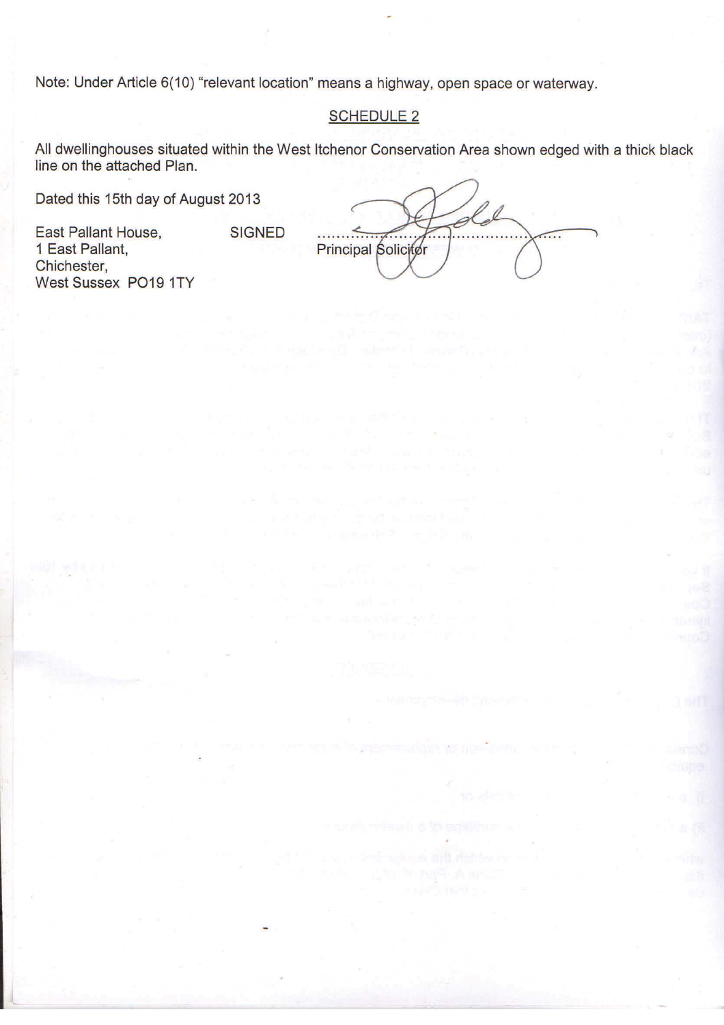Note: Under Article 6(10) "relevant location" means a highway, open space or waterway.

SIGNED

### SCHEDULE 2

All dwellinghouses situated within the West Itchenor Conservation Area shown edged with a thick black line on the attached Plan.

Dated this 15th day of August 2013

East Pallant House, 1 East Pallant, Chichester, West Sussex P019 1TY

Principal Solicitor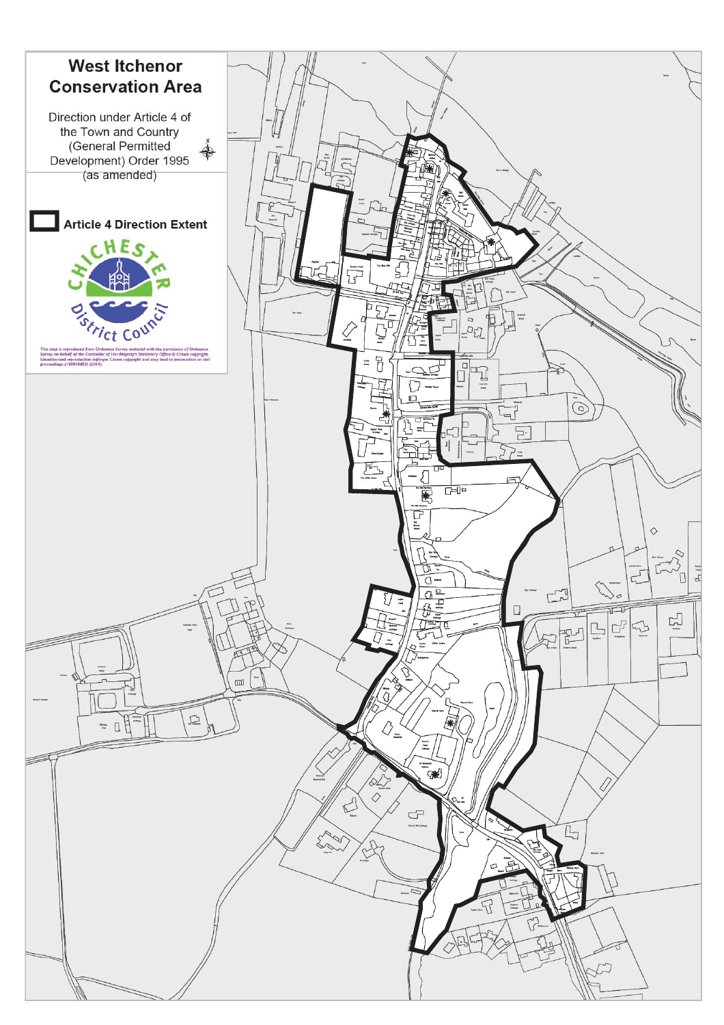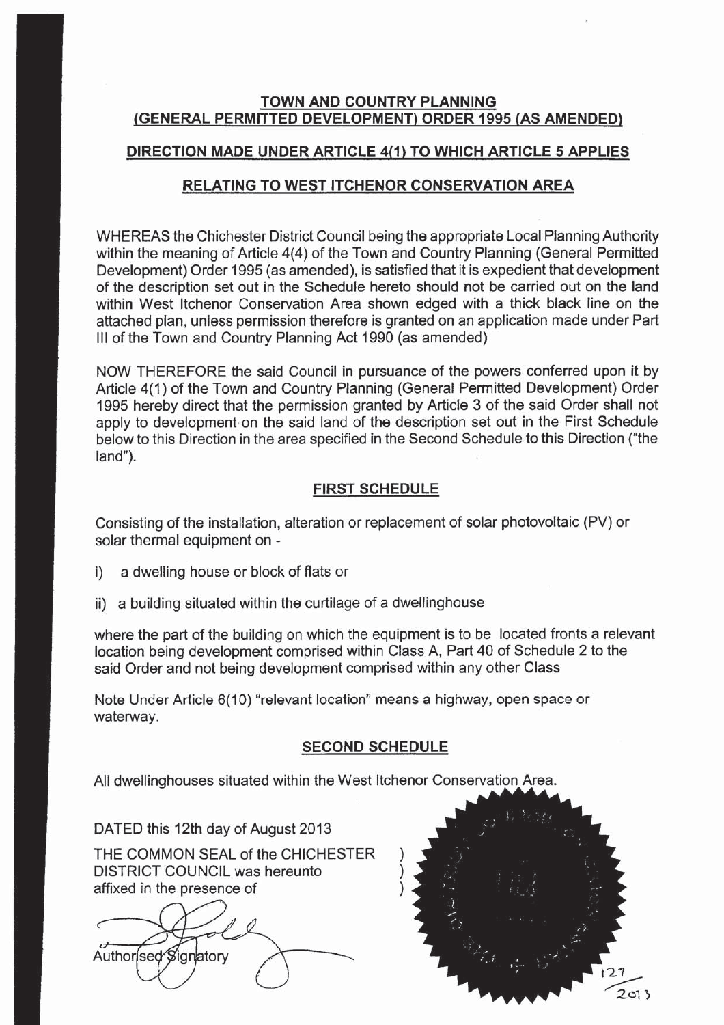### **TOWN AND COUNTRY PLANNING** (GENERAL PERMITTED DEVELOPMENT) ORDER 1995 (AS AMENDED)

### DIRECTION MADE UNDER ARTICLE 4(1) TO WHICH ARTICLE 5 APPLIES

### **RELATING TO WEST ITCHENOR CONSERVATION AREA**

WHEREAS the Chichester District Council being the appropriate Local Planning Authority within the meaning of Article 4(4) of the Town and Country Planning (General Permitted Development) Order 1995 (as amended), is satisfied that it is expedient that development of the description set out in the Schedule hereto should not be carried out on the land within West Itchenor Conservation Area shown edged with a thick black line on the attached plan, unless permission therefore is granted on an application made under Part III of the Town and Country Planning Act 1990 (as amended)

NOW THEREFORE the said Council in pursuance of the powers conferred upon it by Article 4(1) of the Town and Country Planning (General Permitted Development) Order 1995 hereby direct that the permission granted by Article 3 of the said Order shall not apply to development on the said land of the description set out in the First Schedule below to this Direction in the area specified in the Second Schedule to this Direction ("the land").

### **FIRST SCHEDULE**

Consisting of the installation, alteration or replacement of solar photovoltaic (PV) or solar thermal equipment on -

- a dwelling house or block of flats or i)
- ii) a building situated within the curtilage of a dwellinghouse

where the part of the building on which the equipment is to be located fronts a relevant location being development comprised within Class A, Part 40 of Schedule 2 to the said Order and not being development comprised within any other Class

Note Under Article 6(10) "relevant location" means a highway, open space or waterway.

#### **SECOND SCHEDULE**

All dwellinghouses situated within the West Itchenor Conservation Area.

DATED this 12th day of August 2013

THE COMMON SEAL of the CHICHESTER DISTRICT COUNCIL was hereunto affixed in the presence of

Authorised Signatory